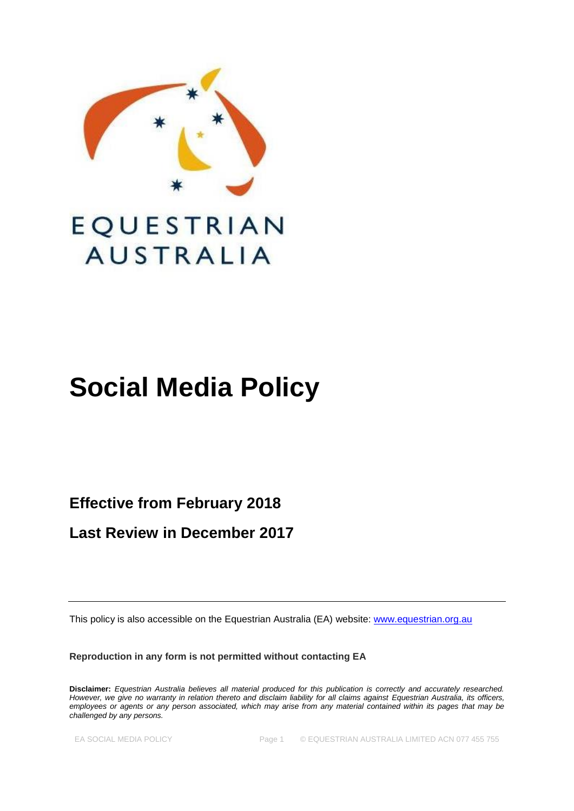

# EQUESTRIAN **AUSTRALIA**

# **Social Media Policy**

**Effective from February 2018**

**Last Review in December 2017**

This policy is also accessible on the Equestrian Australia (EA) website: [www.equestrian.org.au](http://www.equestrian.org.au/)

**Reproduction in any form is not permitted without contacting EA**

**Disclaimer:** *Equestrian Australia believes all material produced for this publication is correctly and accurately researched. However, we give no warranty in relation thereto and disclaim liability for all claims against Equestrian Australia, its officers, employees or agents or any person associated, which may arise from any material contained within its pages that may be challenged by any persons.*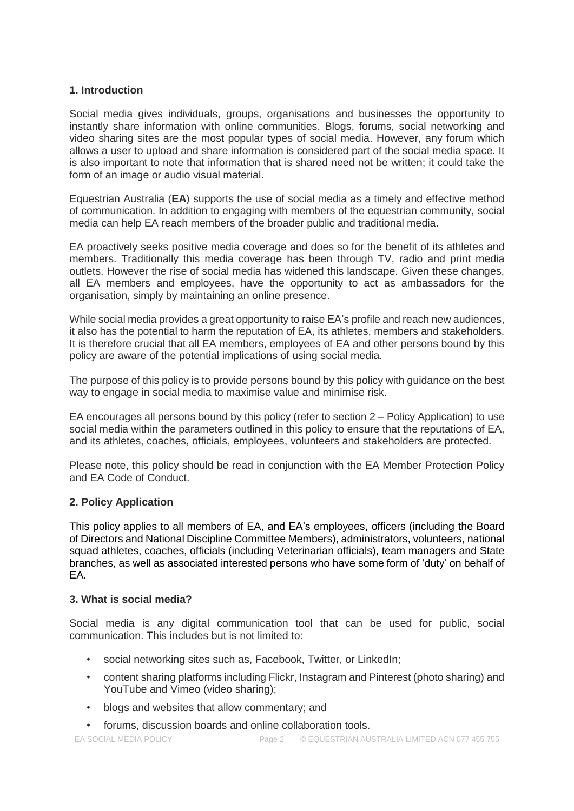## **1. Introduction**

Social media gives individuals, groups, organisations and businesses the opportunity to instantly share information with online communities. Blogs, forums, social networking and video sharing sites are the most popular types of social media. However, any forum which allows a user to upload and share information is considered part of the social media space. It is also important to note that information that is shared need not be written; it could take the form of an image or audio visual material.

Equestrian Australia (**EA**) supports the use of social media as a timely and effective method of communication. In addition to engaging with members of the equestrian community, social media can help EA reach members of the broader public and traditional media.

EA proactively seeks positive media coverage and does so for the benefit of its athletes and members. Traditionally this media coverage has been through TV, radio and print media outlets. However the rise of social media has widened this landscape. Given these changes, all EA members and employees, have the opportunity to act as ambassadors for the organisation, simply by maintaining an online presence.

While social media provides a great opportunity to raise EA's profile and reach new audiences, it also has the potential to harm the reputation of EA, its athletes, members and stakeholders. It is therefore crucial that all EA members, employees of EA and other persons bound by this policy are aware of the potential implications of using social media.

The purpose of this policy is to provide persons bound by this policy with guidance on the best way to engage in social media to maximise value and minimise risk.

EA encourages all persons bound by this policy (refer to section 2 – Policy Application) to use social media within the parameters outlined in this policy to ensure that the reputations of EA, and its athletes, coaches, officials, employees, volunteers and stakeholders are protected.

Please note, this policy should be read in conjunction with the EA Member Protection Policy and EA Code of Conduct.

## **2. Policy Application**

This policy applies to all members of EA, and EA's employees, officers (including the Board of Directors and National Discipline Committee Members), administrators, volunteers, national squad athletes, coaches, officials (including Veterinarian officials), team managers and State branches, as well as associated interested persons who have some form of 'duty' on behalf of EA.

## **3. What is social media?**

Social media is any digital communication tool that can be used for public, social communication. This includes but is not limited to:

- social networking sites such as, Facebook, Twitter, or LinkedIn;
- content sharing platforms including Flickr, Instagram and Pinterest (photo sharing) and YouTube and Vimeo (video sharing);
- blogs and websites that allow commentary; and
- forums, discussion boards and online collaboration tools.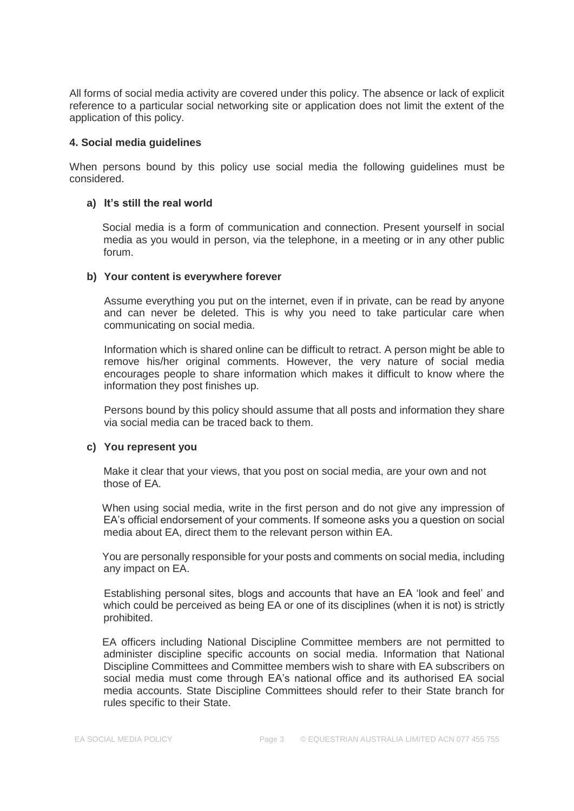All forms of social media activity are covered under this policy. The absence or lack of explicit reference to a particular social networking site or application does not limit the extent of the application of this policy.

#### **4. Social media guidelines**

When persons bound by this policy use social media the following guidelines must be considered.

#### **a) It's still the real world**

Social media is a form of communication and connection. Present yourself in social media as you would in person, via the telephone, in a meeting or in any other public forum.

#### **b) Your content is everywhere forever**

Assume everything you put on the internet, even if in private, can be read by anyone and can never be deleted. This is why you need to take particular care when communicating on social media.

Information which is shared online can be difficult to retract. A person might be able to remove his/her original comments. However, the very nature of social media encourages people to share information which makes it difficult to know where the information they post finishes up.

Persons bound by this policy should assume that all posts and information they share via social media can be traced back to them.

### **c) You represent you**

 Make it clear that your views, that you post on social media, are your own and not those of EA.

When using social media, write in the first person and do not give any impression of EA's official endorsement of your comments. If someone asks you a question on social media about EA, direct them to the relevant person within EA.

You are personally responsible for your posts and comments on social media, including any impact on EA.

 Establishing personal sites, blogs and accounts that have an EA 'look and feel' and which could be perceived as being EA or one of its disciplines (when it is not) is strictly prohibited.

EA officers including National Discipline Committee members are not permitted to administer discipline specific accounts on social media. Information that National Discipline Committees and Committee members wish to share with EA subscribers on social media must come through EA's national office and its authorised EA social media accounts. State Discipline Committees should refer to their State branch for rules specific to their State.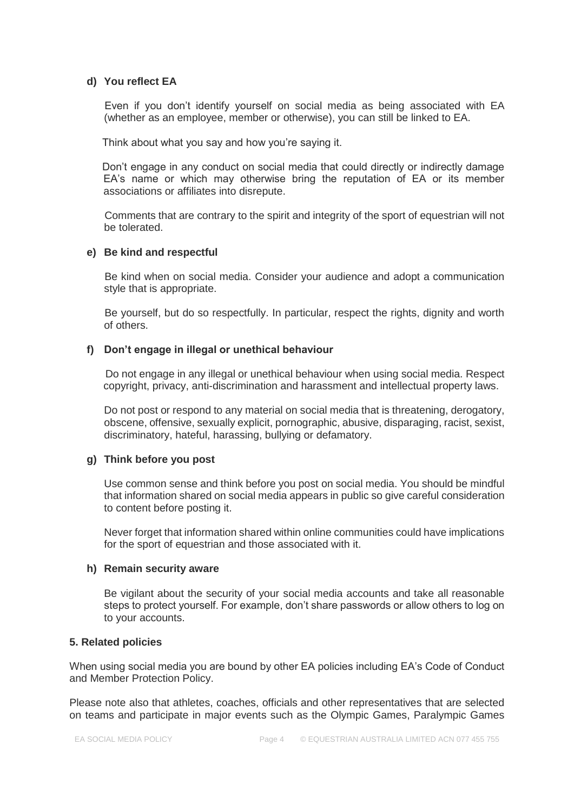#### **d) You reflect EA**

 Even if you don't identify yourself on social media as being associated with EA (whether as an employee, member or otherwise), you can still be linked to EA.

Think about what you say and how you're saying it.

Don't engage in any conduct on social media that could directly or indirectly damage EA's name or which may otherwise bring the reputation of EA or its member associations or affiliates into disrepute.

 Comments that are contrary to the spirit and integrity of the sport of equestrian will not be tolerated.

#### **e) Be kind and respectful**

 Be kind when on social media. Consider your audience and adopt a communication style that is appropriate.

 Be yourself, but do so respectfully. In particular, respect the rights, dignity and worth of others.

### **f) Don't engage in illegal or unethical behaviour**

 Do not engage in any illegal or unethical behaviour when using social media. Respect copyright, privacy, anti-discrimination and harassment and intellectual property laws.

Do not post or respond to any material on social media that is threatening, derogatory, obscene, offensive, sexually explicit, pornographic, abusive, disparaging, racist, sexist, discriminatory, hateful, harassing, bullying or defamatory.

#### **g) Think before you post**

Use common sense and think before you post on social media. You should be mindful that information shared on social media appears in public so give careful consideration to content before posting it.

Never forget that information shared within online communities could have implications for the sport of equestrian and those associated with it.

#### **h) Remain security aware**

Be vigilant about the security of your social media accounts and take all reasonable steps to protect yourself. For example, don't share passwords or allow others to log on to your accounts.

#### **5. Related policies**

When using social media you are bound by other EA policies including EA's Code of Conduct and Member Protection Policy.

Please note also that athletes, coaches, officials and other representatives that are selected on teams and participate in major events such as the Olympic Games, Paralympic Games